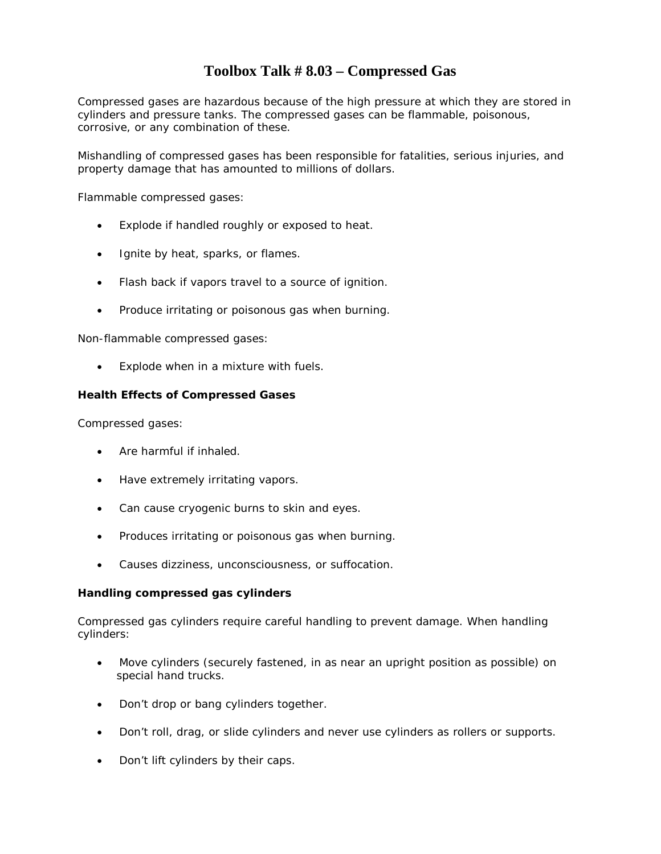### **Toolbox Talk # 8.03 – Compressed Gas**

Compressed gases are hazardous because of the high pressure at which they are stored in cylinders and pressure tanks. The compressed gases can be flammable, poisonous, corrosive, or any combination of these.

Mishandling of compressed gases has been responsible for fatalities, serious injuries, and property damage that has amounted to millions of dollars.

Flammable compressed gases:

- Explode if handled roughly or exposed to heat.
- Ignite by heat, sparks, or flames.
- Flash back if vapors travel to a source of ignition.
- Produce irritating or poisonous gas when burning.

Non-flammable compressed gases:

Explode when in a mixture with fuels.

#### **Health Effects of Compressed Gases**

Compressed gases:

- Are harmful if inhaled.
- Have extremely irritating vapors.
- Can cause cryogenic burns to skin and eyes.
- Produces irritating or poisonous gas when burning.
- Causes dizziness, unconsciousness, or suffocation.

### **Handling compressed gas cylinders**

Compressed gas cylinders require careful handling to prevent damage. When handling cylinders:

- Move cylinders (securely fastened, in as near an upright position as possible) on special hand trucks.
- Don't drop or bang cylinders together.
- Don't roll, drag, or slide cylinders and never use cylinders as rollers or supports.
- Don't lift cylinders by their caps.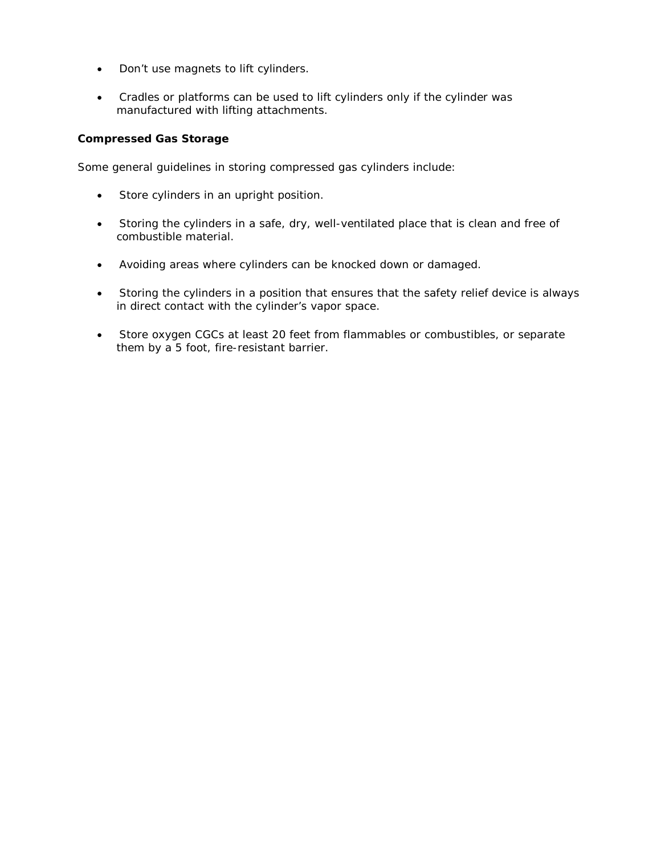- Don't use magnets to lift cylinders.
- Cradles or platforms can be used to lift cylinders only if the cylinder was manufactured with lifting attachments.

### **Compressed Gas Storage**

Some general guidelines in storing compressed gas cylinders include:

- Store cylinders in an upright position.
- Storing the cylinders in a safe, dry, well-ventilated place that is clean and free of combustible material.
- Avoiding areas where cylinders can be knocked down or damaged.
- Storing the cylinders in a position that ensures that the safety relief device is always in direct contact with the cylinder's vapor space.
- Store oxygen CGCs at least 20 feet from flammables or combustibles, or separate them by a 5 foot, fire-resistant barrier.